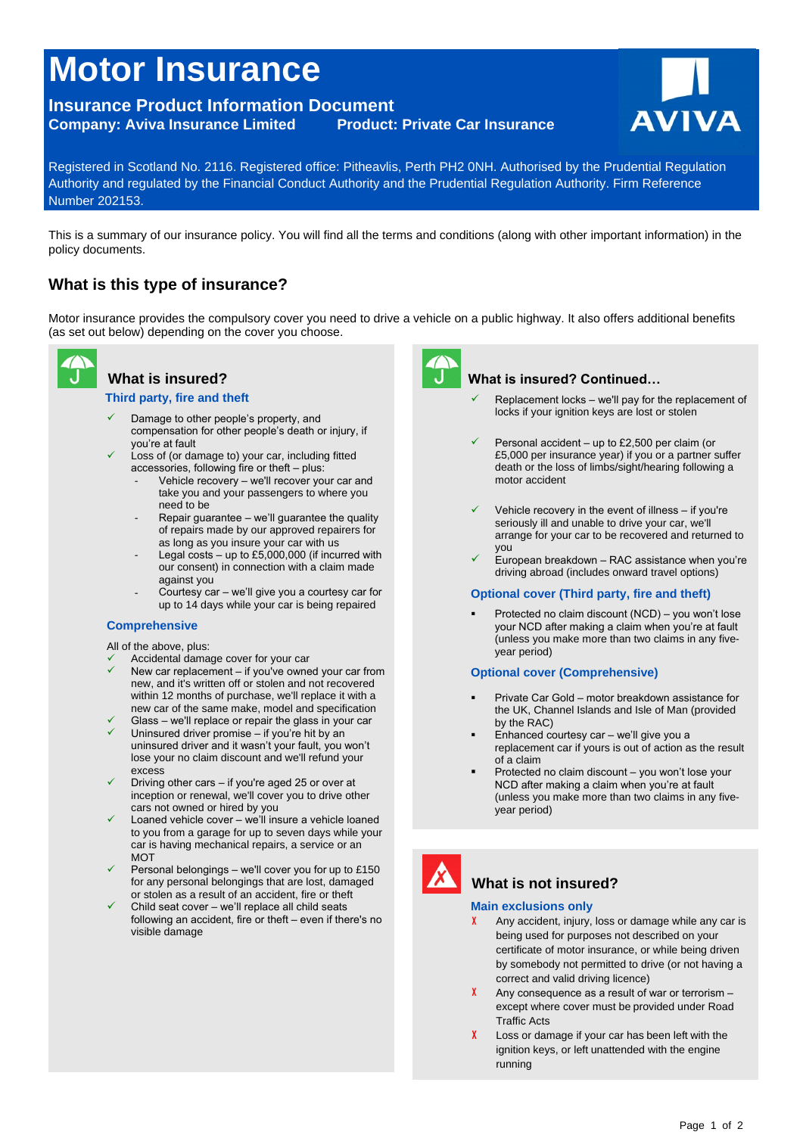# **Motor Insurance**

# **Insurance Product Information Document Company: Aviva Insurance Limited Product: Private Car Insurance AVIVA**



Registered in Scotland No. 2116. Registered office: Pitheavlis, Perth PH2 0NH. Authorised by the Prudential Regulation Authority and regulated by the Financial Conduct Authority and the Prudential Regulation Authority. Firm Reference Number 202153.

This is a summary of our insurance policy. You will find all the terms and conditions (along with other important information) in the policy documents.

# **What is this type of insurance?**

Motor insurance provides the compulsory cover you need to drive a vehicle on a public highway. It also offers additional benefits (as set out below) depending on the cover you choose.



# **What is insured?**

#### **Third party, fire and theft**

- $\checkmark$  Damage to other people's property, and compensation for other people's death or injury, if you're at fault
- Loss of (or damage to) your car, including fitted  $accessories, following fire or theft - plus:$ 
	- Vehicle recovery we'll recover your car and take you and your passengers to where you need to be
	- Repair guarantee we'll guarantee the quality of repairs made by our approved repairers for as long as you insure your car with us
	- Legal costs up to £5,000,000 (if incurred with our consent) in connection with a claim made against you
	- Courtesy car we'll give you a courtesy car for up to 14 days while your car is being repaired

## **Comprehensive**

All of the above, plus:

- Accidental damage cover for your car
- New car replacement if you've owned your car from new, and it's written off or stolen and not recovered within 12 months of purchase, we'll replace it with a new car of the same make, model and specification
- Glass we'll replace or repair the glass in your car Uninsured driver promise – if you're hit by an uninsured driver and it wasn't your fault, you won't lose your no claim discount and we'll refund your
- excess Driving other cars – if you're aged 25 or over at inception or renewal, we'll cover you to drive other cars not owned or hired by you
- Loaned vehicle cover we'll insure a vehicle loaned to you from a garage for up to seven days while your car is having mechanical repairs, a service or an **MOT**
- Personal belongings we'll cover you for up to £150 for any personal belongings that are lost, damaged or stolen as a result of an accident, fire or theft
- Child seat cover we'll replace all child seats following an accident, fire or theft – even if there's no visible damage



## What is insured? Continued...

- Replacement locks we'll pay for the replacement of locks if your ignition keys are lost or stolen
- Personal accident up to £2,500 per claim (or £5,000 per insurance year) if you or a partner suffer death or the loss of limbs/sight/hearing following a motor accident
- Vehicle recovery in the event of illness if you're seriously ill and unable to drive your car, we'll arrange for your car to be recovered and returned to you
- European breakdown RAC assistance when you're driving abroad (includes onward travel options)

#### **Optional cover (Third party, fire and theft)**

Protected no claim discount (NCD) – you won't lose your NCD after making a claim when you're at fault (unless you make more than two claims in any fiveyear period)

#### **Optional cover (Comprehensive)**

- Private Car Gold motor breakdown assistance for the UK, Channel Islands and Isle of Man (provided by the RAC)
- uninsured driver and it wasn't your fault, you won't<br>
lose your no claim discount and we'll refund your<br>
excess<br>
Christian of the corp if you're aged 25 or over of<br>  $\frac{1}{2}$  and  $\frac{1}{2}$  and  $\frac{1}{2}$  and  $\frac{1}{2}$  and Enhanced courtesy car – we'll give you a replacement car if yours is out of action as the result of a claim
	- Protected no claim discount you won't lose your NCD after making a claim when you're at fault (unless you make more than two claims in any fiveyear period)



# **What is not insured?**

#### **Main exclusions only**

- **X** Any accident, injury, loss or damage while any car is being used for purposes not described on your certificate of motor insurance, or while being driven by somebody not permitted to drive (or not having a correct and valid driving licence)
- X Any consequence as a result of war or terrorism except where cover must be provided under Road Traffic Acts
- **X** Loss or damage if your car has been left with the ignition keys, or left unattended with the engine running